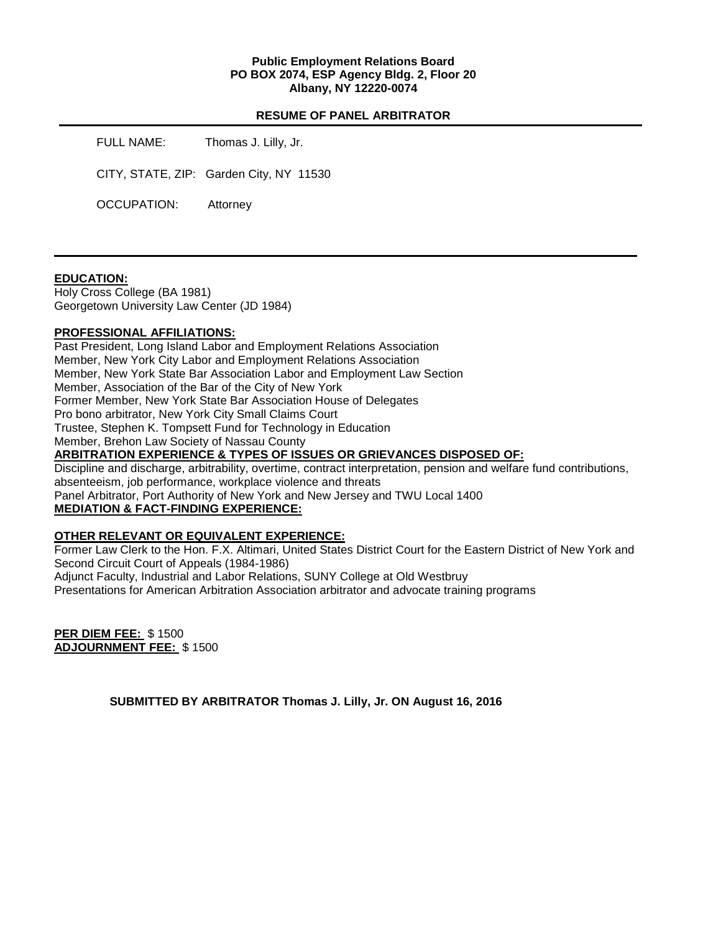## **Public Employment Relations Board PO BOX 2074, ESP Agency Bldg. 2, Floor 20 Albany, NY 12220-0074**

#### **RESUME OF PANEL ARBITRATOR**

FULL NAME: Thomas J. Lilly, Jr.

CITY, STATE, ZIP: Garden City, NY 11530

OCCUPATION: Attorney

## **EDUCATION:**

Holy Cross College (BA 1981) Georgetown University Law Center (JD 1984)

## **PROFESSIONAL AFFILIATIONS:**

Past President, Long Island Labor and Employment Relations Association Member, New York City Labor and Employment Relations Association Member, New York State Bar Association Labor and Employment Law Section Member, Association of the Bar of the City of New York Former Member, New York State Bar Association House of Delegates Pro bono arbitrator, New York City Small Claims Court Trustee, Stephen K. Tompsett Fund for Technology in Education Member, Brehon Law Society of Nassau County **ARBITRATION EXPERIENCE & TYPES OF ISSUES OR GRIEVANCES DISPOSED OF:**  Discipline and discharge, arbitrability, overtime, contract interpretation, pension and welfare fund contributions, absenteeism, job performance, workplace violence and threats

Panel Arbitrator, Port Authority of New York and New Jersey and TWU Local 1400

## **MEDIATION & FACT-FINDING EXPERIENCE:**

## **OTHER RELEVANT OR EQUIVALENT EXPERIENCE:**

Former Law Clerk to the Hon. F.X. Altimari, United States District Court for the Eastern District of New York and Second Circuit Court of Appeals (1984-1986)

Adjunct Faculty, Industrial and Labor Relations, SUNY College at Old Westbruy

Presentations for American Arbitration Association arbitrator and advocate training programs

**PER DIEM FEE:** \$ 1500 **ADJOURNMENT FEE:** \$ 1500

**SUBMITTED BY ARBITRATOR Thomas J. Lilly, Jr. ON August 16, 2016**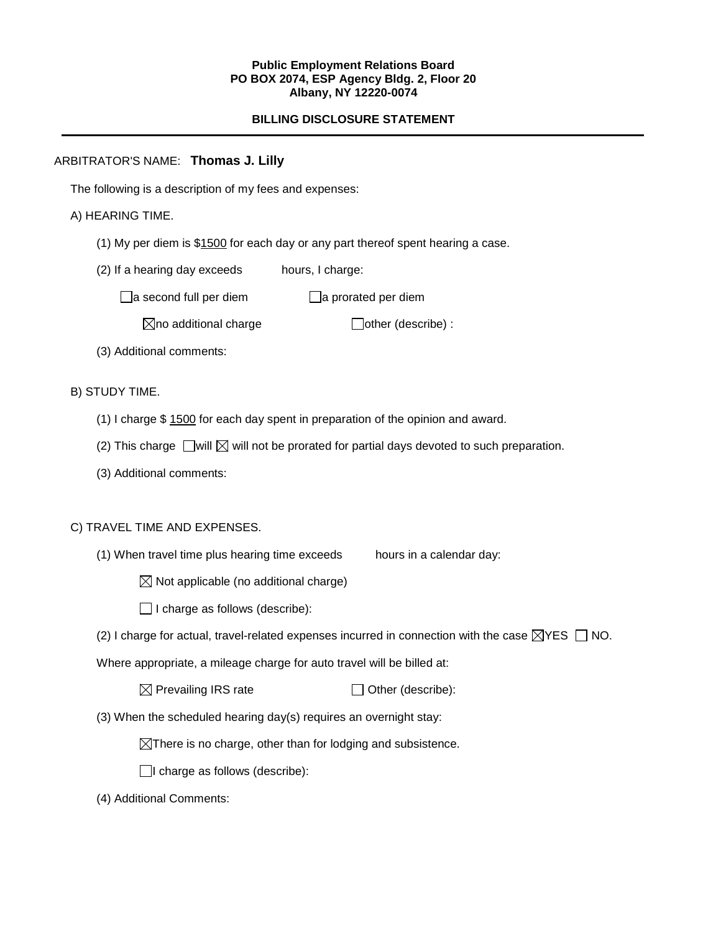#### **Public Employment Relations Board PO BOX 2074, ESP Agency Bldg. 2, Floor 20 Albany, NY 12220-0074**

# **BILLING DISCLOSURE STATEMENT**

# ARBITRATOR'S NAME: **Thomas J. Lilly**

The following is a description of my fees and expenses:

# A) HEARING TIME.

- (1) My per diem is \$1500 for each day or any part thereof spent hearing a case.
- (2) If a hearing day exceeds hours, I charge:

 $\Box$ a second full per diem  $\Box$ a prorated per diem

 $\boxtimes$ no additional charge  $\Box$ other (describe) :

(3) Additional comments:

# B) STUDY TIME.

- (1) I charge \$ 1500 for each day spent in preparation of the opinion and award.
- (2) This charge  $\Box$  will  $\boxtimes$  will not be prorated for partial days devoted to such preparation.
- (3) Additional comments:

## C) TRAVEL TIME AND EXPENSES.

(1) When travel time plus hearing time exceeds hours in a calendar day:

 $\boxtimes$  Not applicable (no additional charge)

 $\Box$  I charge as follows (describe):

(2) I charge for actual, travel-related expenses incurred in connection with the case  $\boxtimes$ YES  $\Box$  NO.

Where appropriate, a mileage charge for auto travel will be billed at:

| $\boxtimes$ Prevailing IRS rate | $\Box$ Other (describe): |
|---------------------------------|--------------------------|
|---------------------------------|--------------------------|

(3) When the scheduled hearing day(s) requires an overnight stay:

 $\boxtimes$ There is no charge, other than for lodging and subsistence.

 $\Box$ I charge as follows (describe):

(4) Additional Comments: